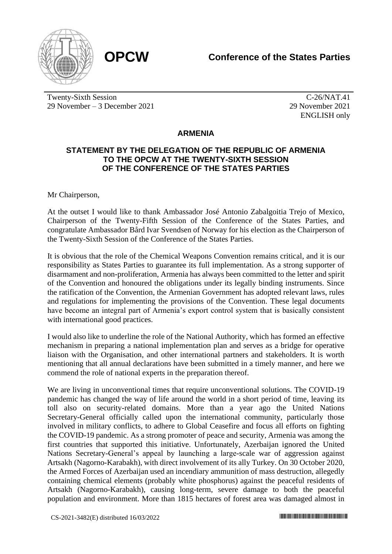



Twenty-Sixth Session 29 November – 3 December 2021

C-26/NAT.41 29 November 2021 ENGLISH only

## **ARMENIA**

## **STATEMENT BY THE DELEGATION OF THE REPUBLIC OF ARMENIA TO THE OPCW AT THE TWENTY-SIXTH SESSION OF THE CONFERENCE OF THE STATES PARTIES**

Mr Chairperson,

At the outset I would like to thank Ambassador José Antonio Zabalgoitia Trejo of Mexico, Chairperson of the Twenty-Fifth Session of the Conference of the States Parties, and congratulate Ambassador Bård Ivar Svendsen of Norway for his election as the Chairperson of the Twenty-Sixth Session of the Conference of the States Parties.

It is obvious that the role of the Chemical Weapons Convention remains critical, and it is our responsibility as States Parties to guarantee its full implementation. As a strong supporter of disarmament and non-proliferation, Armenia has always been committed to the letter and spirit of the Convention and honoured the obligations under its legally binding instruments. Since the ratification of the Convention, the Armenian Government has adopted relevant laws, rules and regulations for implementing the provisions of the Convention. These legal documents have become an integral part of Armenia's export control system that is basically consistent with international good practices.

I would also like to underline the role of the National Authority, which has formed an effective mechanism in preparing a national implementation plan and serves as a bridge for operative liaison with the Organisation, and other international partners and stakeholders. It is worth mentioning that all annual declarations have been submitted in a timely manner, and here we commend the role of national experts in the preparation thereof.

We are living in unconventional times that require unconventional solutions. The COVID-19 pandemic has changed the way of life around the world in a short period of time, leaving its toll also on security-related domains. More than a year ago the United Nations Secretary-General officially called upon the international community, particularly those involved in military conflicts, to adhere to Global Ceasefire and focus all efforts on fighting the COVID-19 pandemic. As a strong promoter of peace and security, Armenia was among the first countries that supported this initiative. Unfortunately, Azerbaijan ignored the United Nations Secretary-General's appeal by launching a large-scale war of aggression against Artsakh (Nagorno-Karabakh), with direct involvement of its ally Turkey. On 30 October 2020, the Armed Forces of Azerbaijan used an incendiary ammunition of mass destruction, allegedly containing chemical elements (probably white phosphorus) against the peaceful residents of Artsakh (Nagorno-Karabakh), causing long-term, severe damage to both the peaceful population and environment. More than 1815 hectares of forest area was damaged almost in